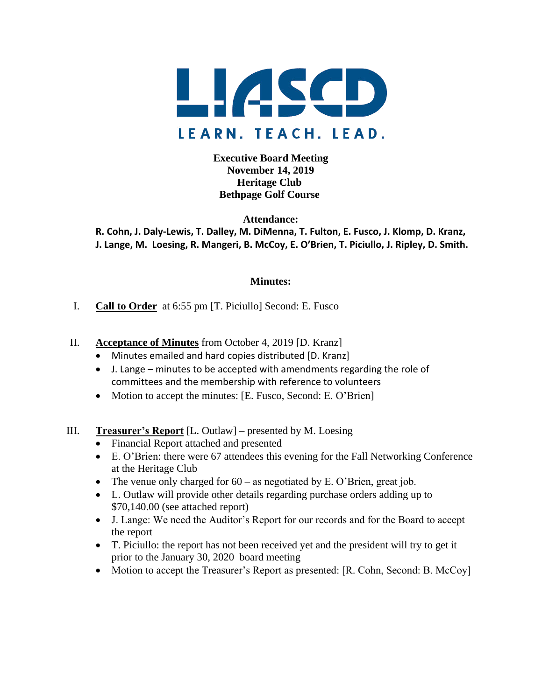

**Executive Board Meeting November 14, 2019 Heritage Club Bethpage Golf Course**

**Attendance: R. Cohn, J. Daly-Lewis, T. Dalley, M. DiMenna, T. Fulton, E. Fusco, J. Klomp, D. Kranz, J. Lange, M. Loesing, R. Mangeri, B. McCoy, E. O'Brien, T. Piciullo, J. Ripley, D. Smith.**

#### **Minutes:**

- I. **Call to Order** at 6:55 pm [T. Piciullo] Second: E. Fusco
- II. **Acceptance of Minutes** from October 4, 2019 [D. Kranz]
	- Minutes emailed and hard copies distributed [D. Kranz]
	- J. Lange minutes to be accepted with amendments regarding the role of committees and the membership with reference to volunteers
	- Motion to accept the minutes: [E. Fusco, Second: E. O'Brien]
- III. **Treasurer's Report** [L. Outlaw] presented by M. Loesing
	- Financial Report attached and presented
	- E. O'Brien: there were 67 attendees this evening for the Fall Networking Conference at the Heritage Club
	- The venue only charged for  $60 -$  as negotiated by E. O'Brien, great job.
	- L. Outlaw will provide other details regarding purchase orders adding up to \$70,140.00 (see attached report)
	- J. Lange: We need the Auditor's Report for our records and for the Board to accept the report
	- T. Piciullo: the report has not been received yet and the president will try to get it prior to the January 30, 2020 board meeting
	- Motion to accept the Treasurer's Report as presented: [R. Cohn, Second: B. McCoy]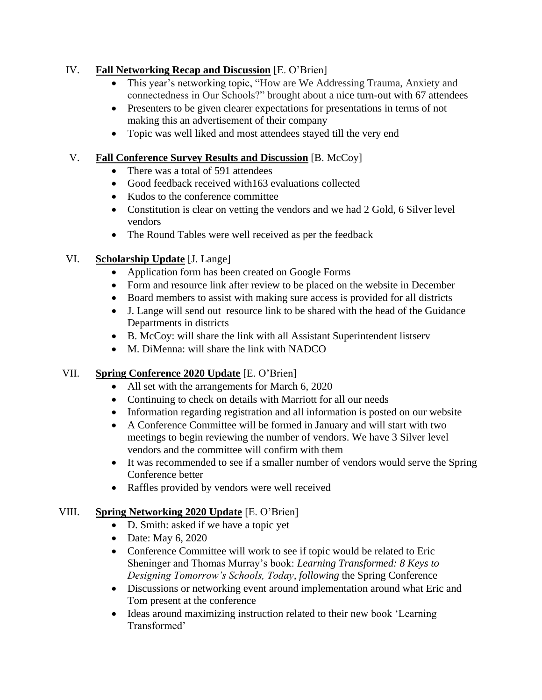#### IV. **Fall Networking Recap and Discussion** [E. O'Brien]

- This year's networking topic, "How are We Addressing Trauma, Anxiety and connectedness in Our Schools?" brought about a nice turn-out with 67 attendees
- Presenters to be given clearer expectations for presentations in terms of not making this an advertisement of their company
- Topic was well liked and most attendees stayed till the very end

## V. **Fall Conference Survey Results and Discussion** [B. McCoy]

- There was a total of 591 attendees
- Good feedback received with 163 evaluations collected
- Kudos to the conference committee
- Constitution is clear on vetting the vendors and we had 2 Gold, 6 Silver level vendors
- The Round Tables were well received as per the feedback

# VI. **Scholarship Update** [J. Lange]

- Application form has been created on Google Forms
- Form and resource link after review to be placed on the website in December
- Board members to assist with making sure access is provided for all districts
- J. Lange will send out resource link to be shared with the head of the Guidance Departments in districts
- B. McCoy: will share the link with all Assistant Superintendent listserv
- M. DiMenna: will share the link with NADCO

# VII. **Spring Conference 2020 Update** [E. O'Brien]

- All set with the arrangements for March 6, 2020
- Continuing to check on details with Marriott for all our needs
- Information regarding registration and all information is posted on our website
- A Conference Committee will be formed in January and will start with two meetings to begin reviewing the number of vendors. We have 3 Silver level vendors and the committee will confirm with them
- It was recommended to see if a smaller number of vendors would serve the Spring Conference better
- Raffles provided by vendors were well received

# VIII. **Spring Networking 2020 Update** [E. O'Brien]

- D. Smith: asked if we have a topic yet
- Date: May 6, 2020
- Conference Committee will work to see if topic would be related to Eric Sheninger and Thomas Murray's book: *Learning Transformed: 8 Keys to Designing Tomorrow's Schools, Today, following* the Spring Conference
- Discussions or networking event around implementation around what Eric and Tom present at the conference
- Ideas around maximizing instruction related to their new book 'Learning' Transformed'